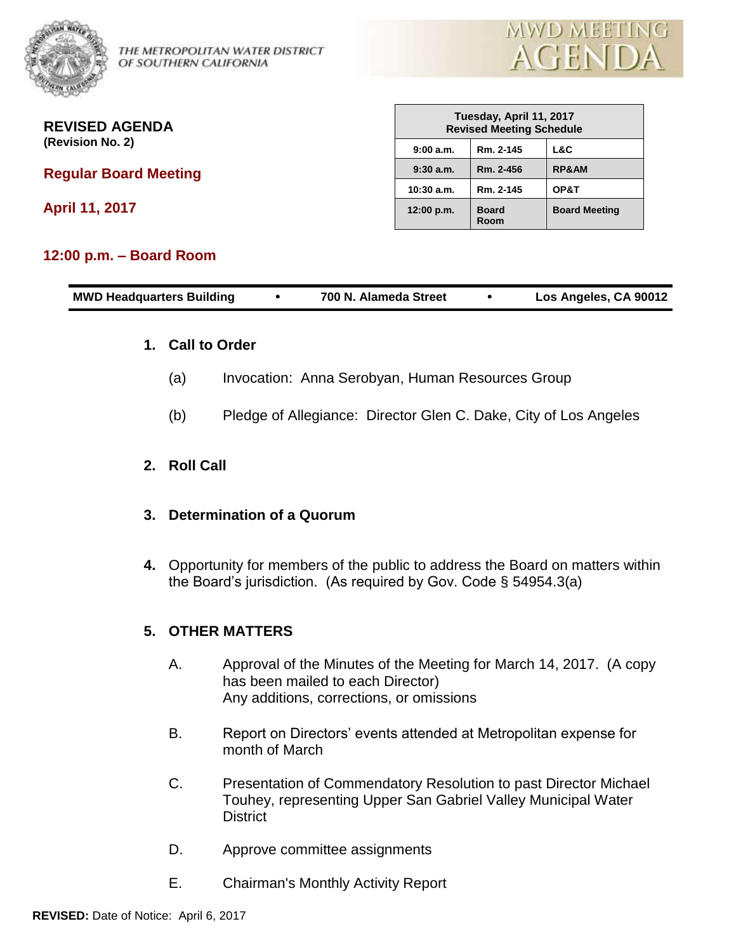

THE METROPOLITAN WATER DISTRICT OF SOUTHERN CALIFORNIA



**REVISED AGENDA (Revision No. 2)**

**Regular Board Meeting** 

**April 11, 2017**

## **12:00 p.m. – Board Room**

| Tuesday, April 11, 2017<br><b>Revised Meeting Schedule</b> |                      |                      |
|------------------------------------------------------------|----------------------|----------------------|
| 9:00a.m.                                                   | Rm. 2-145            | L&C                  |
| 9:30a.m.                                                   | Rm. 2-456            | <b>RP&amp;AM</b>     |
| 10:30 a.m.                                                 | Rm. 2-145            | OP&T                 |
| 12:00 p.m.                                                 | <b>Board</b><br>Room | <b>Board Meeting</b> |

| <b>MWD Headquarters Building</b> |  | 700 N. Alameda Street |  | Los Angeles, CA 90012 |
|----------------------------------|--|-----------------------|--|-----------------------|
|----------------------------------|--|-----------------------|--|-----------------------|

## **1. Call to Order**

- (a) Invocation: Anna Serobyan, Human Resources Group
- (b) Pledge of Allegiance: Director Glen C. Dake, City of Los Angeles

## **2. Roll Call**

## **3. Determination of a Quorum**

**4.** Opportunity for members of the public to address the Board on matters within the Board's jurisdiction. (As required by Gov. Code § 54954.3(a)

## **5. OTHER MATTERS**

- A. Approval of the Minutes of the Meeting for March 14, 2017. (A copy has been mailed to each Director) Any additions, corrections, or omissions
- B. Report on Directors' events attended at Metropolitan expense for month of March
- C. Presentation of Commendatory Resolution to past Director Michael Touhey, representing Upper San Gabriel Valley Municipal Water **District**
- D. Approve committee assignments
- E. Chairman's Monthly Activity Report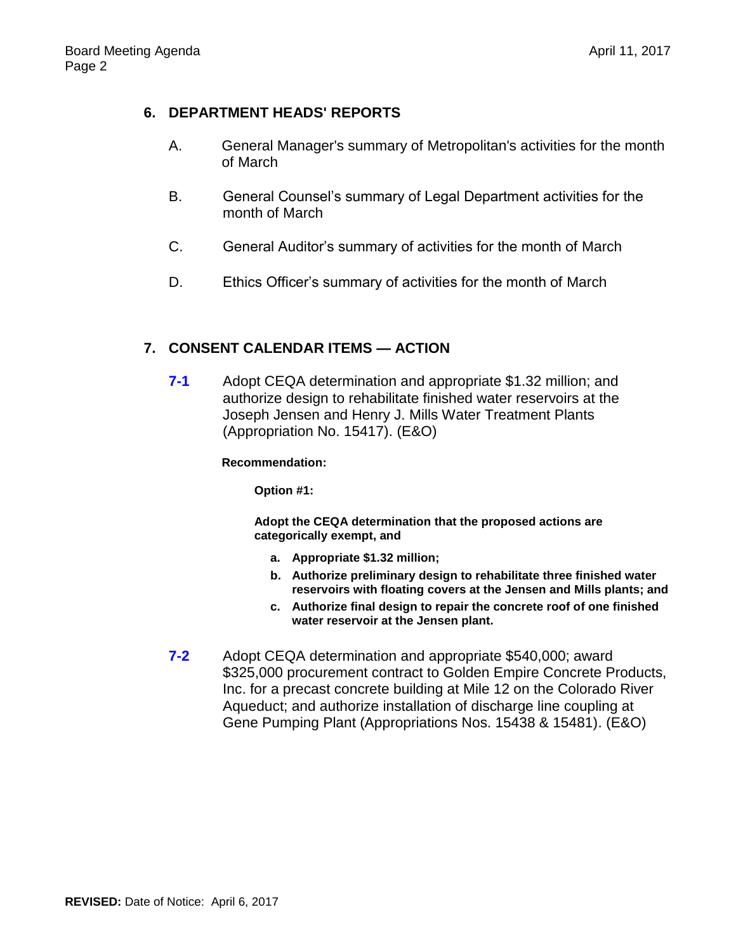# **6. DEPARTMENT HEADS' REPORTS**

- A. General Manager's summary of Metropolitan's activities for the month of March
- B. General Counsel's summary of Legal Department activities for the month of March
- C. General Auditor's summary of activities for the month of March
- D. Ethics Officer's summary of activities for the month of March

# **7. CONSENT CALENDAR ITEMS — ACTION**

**7-1** Adopt CEQA determination and appropriate \$1.32 million; and authorize design to rehabilitate finished water reservoirs at the Joseph Jensen and Henry J. Mills Water Treatment Plants (Appropriation No. 15417). (E&O)

### **Recommendation:**

**Option #1:**

**Adopt the CEQA determination that the proposed actions are categorically exempt, and**

- **a. Appropriate \$1.32 million;**
- **b. Authorize preliminary design to rehabilitate three finished water reservoirs with floating covers at the Jensen and Mills plants; and**
- **c. Authorize final design to repair the concrete roof of one finished water reservoir at the Jensen plant.**
- **7-2** Adopt CEQA determination and appropriate \$540,000; award \$325,000 procurement contract to Golden Empire Concrete Products, Inc. for a precast concrete building at Mile 12 on the Colorado River Aqueduct; and authorize installation of discharge line coupling at Gene Pumping Plant (Appropriations Nos. 15438 & 15481). (E&O)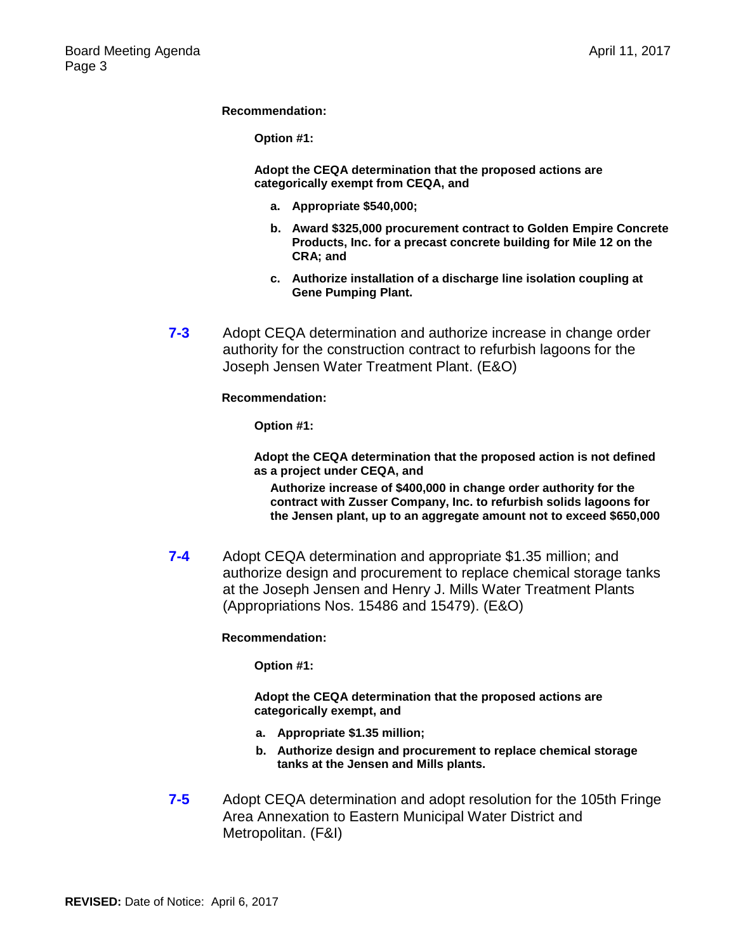**Recommendation:**

**Option #1:**

**Adopt the CEQA determination that the proposed actions are categorically exempt from CEQA, and**

- **a. Appropriate \$540,000;**
- **b. Award \$325,000 procurement contract to Golden Empire Concrete Products, Inc. for a precast concrete building for Mile 12 on the CRA; and**
- **c. Authorize installation of a discharge line isolation coupling at Gene Pumping Plant.**
- **7-3** Adopt CEQA determination and authorize increase in change order authority for the construction contract to refurbish lagoons for the Joseph Jensen Water Treatment Plant. (E&O)

### **Recommendation:**

**Option #1:**

**Adopt the CEQA determination that the proposed action is not defined as a project under CEQA, and**

**Authorize increase of \$400,000 in change order authority for the contract with Zusser Company, Inc. to refurbish solids lagoons for the Jensen plant, up to an aggregate amount not to exceed \$650,000**

**7-4** Adopt CEQA determination and appropriate \$1.35 million; and authorize design and procurement to replace chemical storage tanks at the Joseph Jensen and Henry J. Mills Water Treatment Plants (Appropriations Nos. 15486 and 15479). (E&O)

#### **Recommendation:**

**Option #1:**

**Adopt the CEQA determination that the proposed actions are categorically exempt, and**

- **a. Appropriate \$1.35 million;**
- **b. Authorize design and procurement to replace chemical storage tanks at the Jensen and Mills plants.**
- **7-5** Adopt CEQA determination and adopt resolution for the 105th Fringe Area Annexation to Eastern Municipal Water District and Metropolitan. (F&I)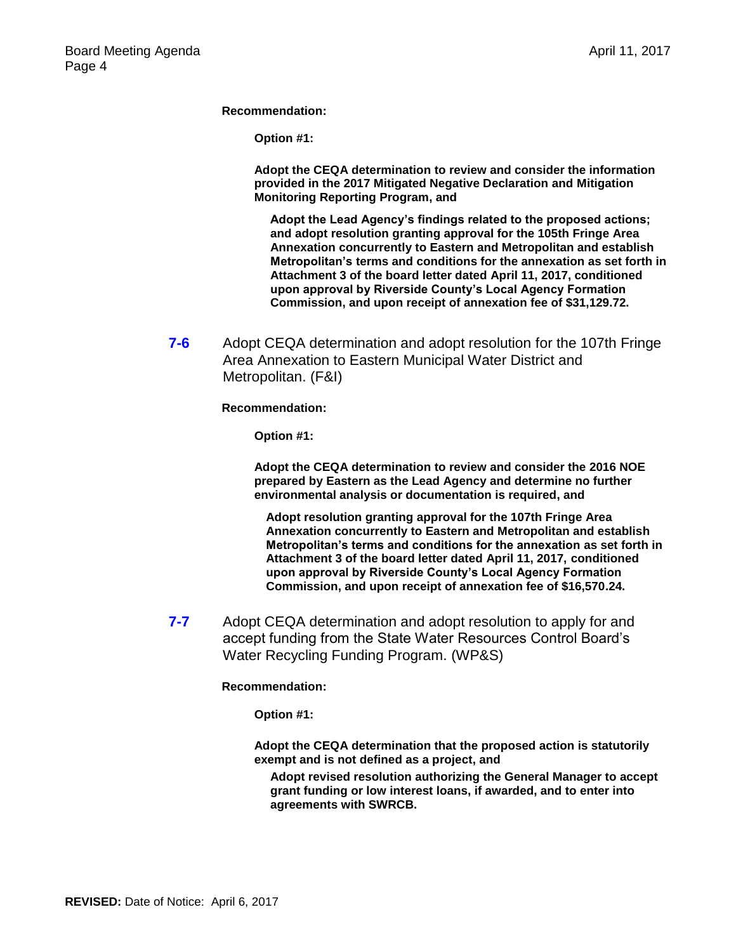**Recommendation:**

**Option #1:**

**Adopt the CEQA determination to review and consider the information provided in the 2017 Mitigated Negative Declaration and Mitigation Monitoring Reporting Program, and**

**Adopt the Lead Agency's findings related to the proposed actions; and adopt resolution granting approval for the 105th Fringe Area Annexation concurrently to Eastern and Metropolitan and establish Metropolitan's terms and conditions for the annexation as set forth in Attachment 3 of the board letter dated April 11, 2017, conditioned upon approval by Riverside County's Local Agency Formation Commission, and upon receipt of annexation fee of \$31,129.72.**

**7-6** Adopt CEQA determination and adopt resolution for the 107th Fringe Area Annexation to Eastern Municipal Water District and Metropolitan. (F&I)

**Recommendation:**

**Option #1:**

**Adopt the CEQA determination to review and consider the 2016 NOE prepared by Eastern as the Lead Agency and determine no further environmental analysis or documentation is required, and**

**Adopt resolution granting approval for the 107th Fringe Area Annexation concurrently to Eastern and Metropolitan and establish Metropolitan's terms and conditions for the annexation as set forth in Attachment 3 of the board letter dated April 11, 2017, conditioned upon approval by Riverside County's Local Agency Formation Commission, and upon receipt of annexation fee of \$16,570.24.**

**7-7** Adopt CEQA determination and adopt resolution to apply for and accept funding from the State Water Resources Control Board's Water Recycling Funding Program. (WP&S)

**Recommendation:**

**Option #1:**

**Adopt the CEQA determination that the proposed action is statutorily exempt and is not defined as a project, and** 

**Adopt revised resolution authorizing the General Manager to accept grant funding or low interest loans, if awarded, and to enter into agreements with SWRCB.**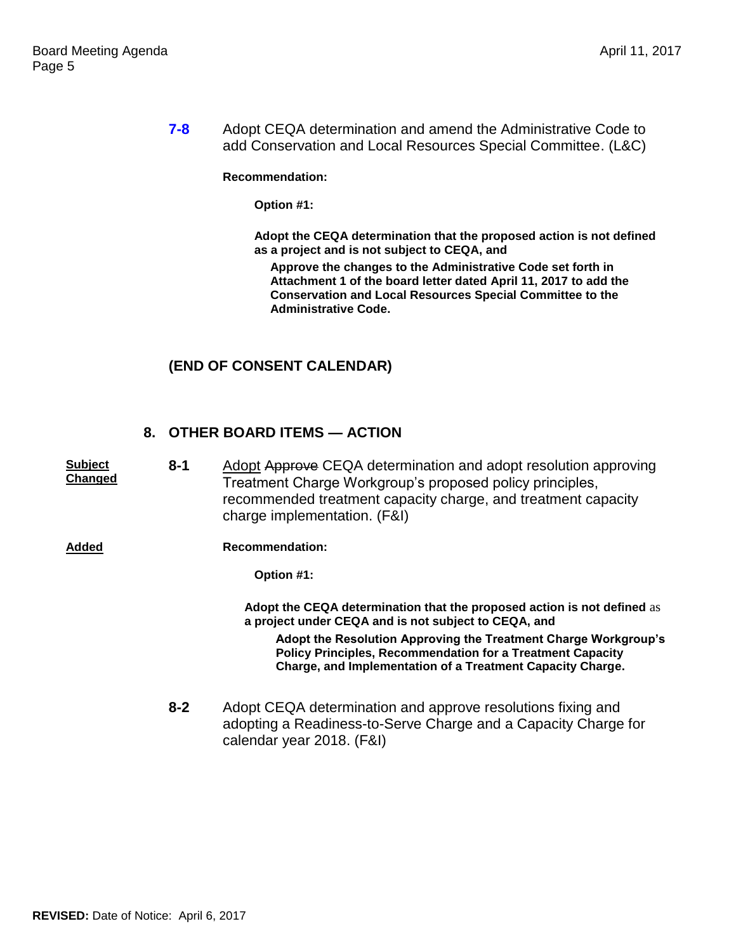**7-8** Adopt CEQA determination and amend the Administrative Code to add Conservation and Local Resources Special Committee. (L&C)

#### **Recommendation:**

**Option #1:**

**Adopt the CEQA determination that the proposed action is not defined as a project and is not subject to CEQA, and**

**Approve the changes to the Administrative Code set forth in Attachment 1 of the board letter dated April 11, 2017 to add the Conservation and Local Resources Special Committee to the Administrative Code.**

## **(END OF CONSENT CALENDAR)**

### **8. OTHER BOARD ITEMS — ACTION**

**Subject Changed 8-1** Adopt Approve CEQA determination and adopt resolution approving Treatment Charge Workgroup's proposed policy principles, recommended treatment capacity charge, and treatment capacity charge implementation. (F&I) **Added Recommendation: Option #1: Adopt the CEQA determination that the proposed action is not defined** as **a project under CEQA and is not subject to CEQA, and Adopt the Resolution Approving the Treatment Charge Workgroup's Policy Principles, Recommendation for a Treatment Capacity Charge, and Implementation of a Treatment Capacity Charge. 8-2** Adopt CEQA determination and approve resolutions fixing and adopting a Readiness-to-Serve Charge and a Capacity Charge for calendar year 2018. (F&I)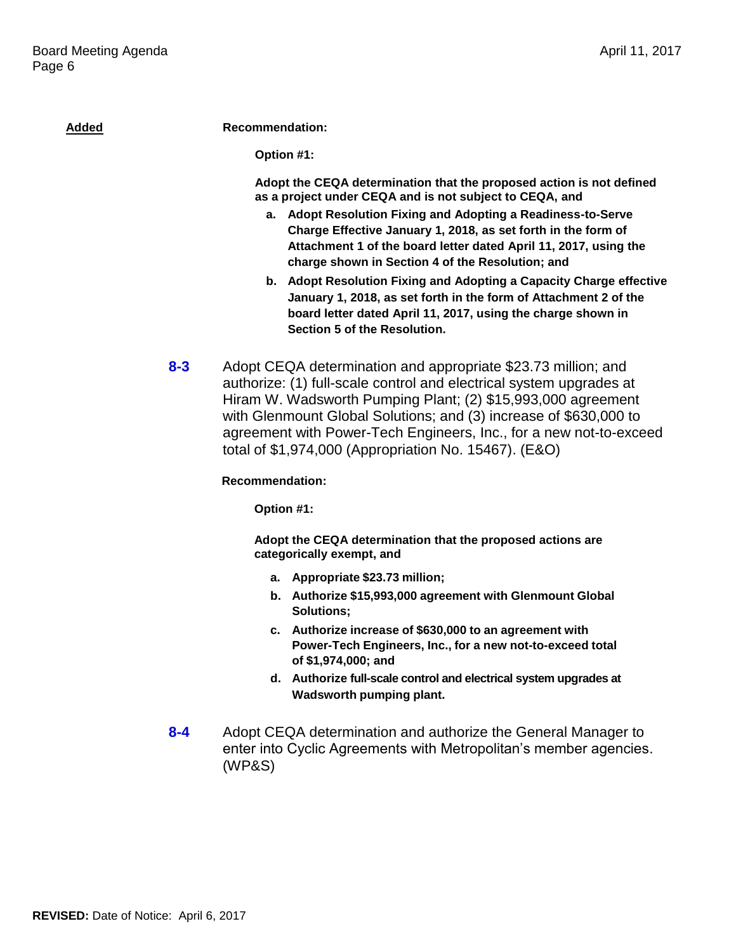| <b>Added</b> | <b>Recommendation:</b>                                                                                                                                                                                                                                                                                                                                                                                   |
|--------------|----------------------------------------------------------------------------------------------------------------------------------------------------------------------------------------------------------------------------------------------------------------------------------------------------------------------------------------------------------------------------------------------------------|
|              | Option #1:                                                                                                                                                                                                                                                                                                                                                                                               |
|              | Adopt the CEQA determination that the proposed action is not defined<br>as a project under CEQA and is not subject to CEQA, and<br>a. Adopt Resolution Fixing and Adopting a Readiness-to-Serve<br>Charge Effective January 1, 2018, as set forth in the form of<br>Attachment 1 of the board letter dated April 11, 2017, using the<br>charge shown in Section 4 of the Resolution; and                 |
|              | b. Adopt Resolution Fixing and Adopting a Capacity Charge effective<br>January 1, 2018, as set forth in the form of Attachment 2 of the<br>board letter dated April 11, 2017, using the charge shown in<br>Section 5 of the Resolution.                                                                                                                                                                  |
| $8 - 3$      | Adopt CEQA determination and appropriate \$23.73 million; and<br>authorize: (1) full-scale control and electrical system upgrades at<br>Hiram W. Wadsworth Pumping Plant; (2) \$15,993,000 agreement<br>with Glenmount Global Solutions; and (3) increase of \$630,000 to<br>agreement with Power-Tech Engineers, Inc., for a new not-to-exceed<br>total of \$1,974,000 (Appropriation No. 15467). (E&O) |
|              | <b>Recommendation:</b>                                                                                                                                                                                                                                                                                                                                                                                   |
|              | Option #1:                                                                                                                                                                                                                                                                                                                                                                                               |
|              | Adopt the CEQA determination that the proposed actions are<br>categorically exempt, and                                                                                                                                                                                                                                                                                                                  |
|              | a. Appropriate \$23.73 million;                                                                                                                                                                                                                                                                                                                                                                          |
|              | b. Authorize \$15,993,000 agreement with Glenmount Global<br>Solutions;                                                                                                                                                                                                                                                                                                                                  |
|              | Authorize increase of \$630,000 to an agreement with<br>с.<br>Power-Tech Engineers, Inc., for a new not-to-exceed total<br>of \$1,974,000; and                                                                                                                                                                                                                                                           |
|              | d. Authorize full-scale control and electrical system upgrades at<br>Wadsworth pumping plant.                                                                                                                                                                                                                                                                                                            |
| $8 - 4$      | Adopt CEQA determination and authorize the General Manager to<br>enter into Cyclic Agreements with Metropolitan's member agencies.<br>(WP&S)                                                                                                                                                                                                                                                             |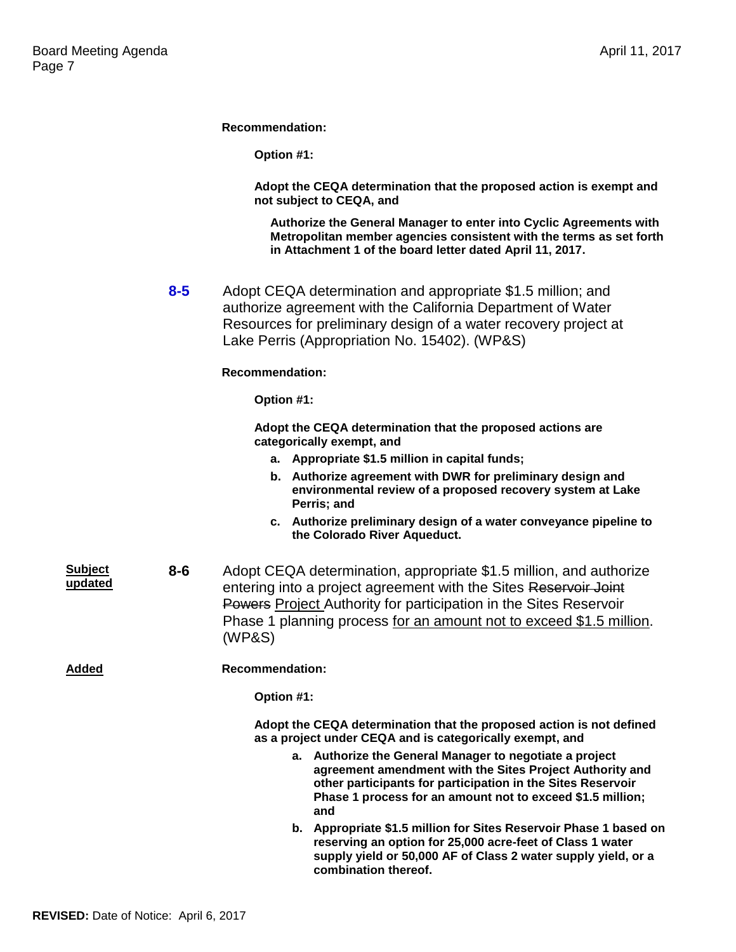**Recommendation:**

**Option #1:**

**Adopt the CEQA determination that the proposed action is exempt and not subject to CEQA, and**

**Authorize the General Manager to enter into Cyclic Agreements with Metropolitan member agencies consistent with the terms as set forth in Attachment 1 of the board letter dated April 11, 2017.**

**8-5** Adopt CEQA determination and appropriate \$1.5 million; and authorize agreement with the California Department of Water Resources for preliminary design of a water recovery project at Lake Perris (Appropriation No. 15402). (WP&S)

#### **Recommendation:**

**Option #1:**

**Adopt the CEQA determination that the proposed actions are categorically exempt, and**

- **a. Appropriate \$1.5 million in capital funds;**
- **b. Authorize agreement with DWR for preliminary design and environmental review of a proposed recovery system at Lake Perris; and**
- **c. Authorize preliminary design of a water conveyance pipeline to the Colorado River Aqueduct.**
- **Subject updated 8-6** Adopt CEQA determination, appropriate \$1.5 million, and authorize entering into a project agreement with the Sites Reservoir Joint Powers Project Authority for participation in the Sites Reservoir Phase 1 planning process for an amount not to exceed \$1.5 million. (WP&S)

**Added Recommendation:**

**Option #1:**

**Adopt the CEQA determination that the proposed action is not defined as a project under CEQA and is categorically exempt, and**

- **a. Authorize the General Manager to negotiate a project agreement amendment with the Sites Project Authority and other participants for participation in the Sites Reservoir Phase 1 process for an amount not to exceed \$1.5 million; and**
- **b. Appropriate \$1.5 million for Sites Reservoir Phase 1 based on reserving an option for 25,000 acre-feet of Class 1 water supply yield or 50,000 AF of Class 2 water supply yield, or a combination thereof.**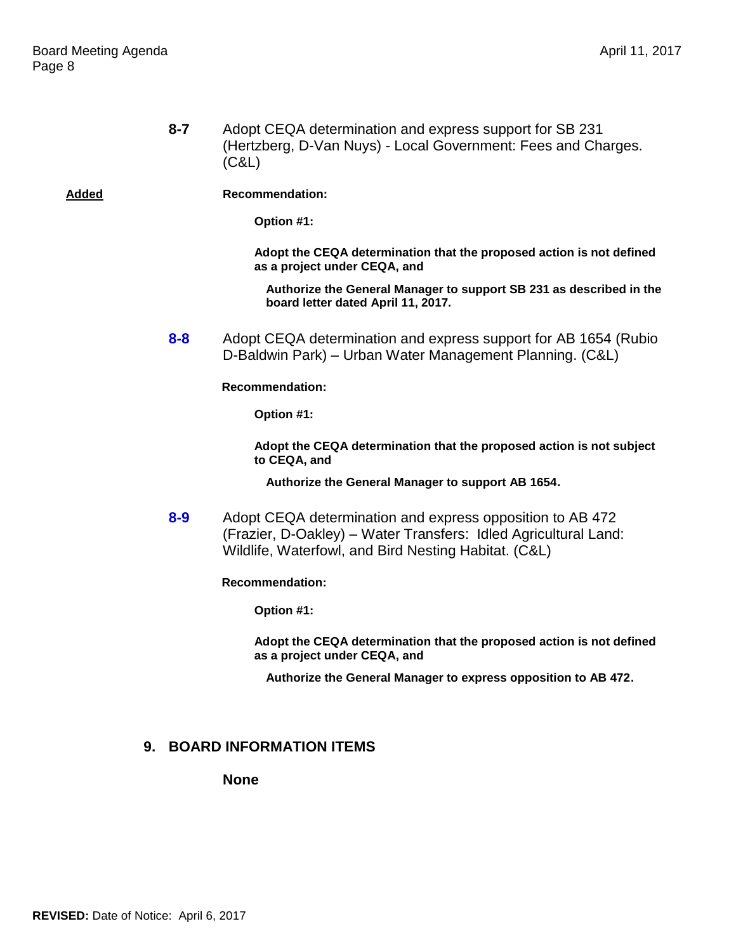**8-7** Adopt CEQA determination and express support for SB 231 (Hertzberg, D-Van Nuys) - Local Government: Fees and Charges. (C&L)

**Added Recommendation:**

**Option #1:**

**Adopt the CEQA determination that the proposed action is not defined as a project under CEQA, and**

**Authorize the General Manager to support SB 231 as described in the board letter dated April 11, 2017.**

**8-8** Adopt CEQA determination and express support for AB 1654 (Rubio D-Baldwin Park) – Urban Water Management Planning. (C&L)

**Recommendation:**

**Option #1:**

**Adopt the CEQA determination that the proposed action is not subject to CEQA, and**

**Authorize the General Manager to support AB 1654.**

**8-9** Adopt CEQA determination and express opposition to AB 472 (Frazier, D-Oakley) – Water Transfers: Idled Agricultural Land: Wildlife, Waterfowl, and Bird Nesting Habitat. (C&L)

**Recommendation:**

**Option #1:**

**Adopt the CEQA determination that the proposed action is not defined as a project under CEQA, and**

**Authorize the General Manager to express opposition to AB 472.**

### **9. BOARD INFORMATION ITEMS**

**None**